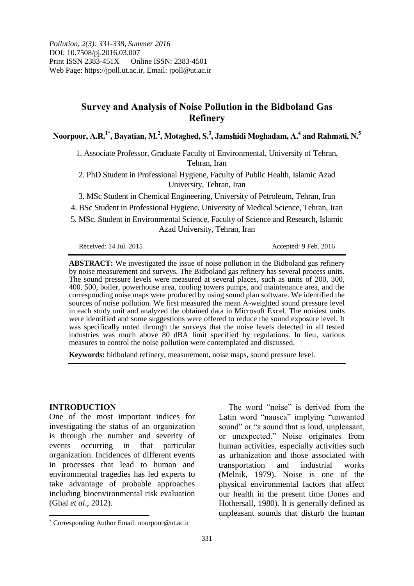# **Survey and Analysis of Noise Pollution in the Bidboland Gas Refinery**

**Noorpoor, A.R.1\* , Bayatian, M.<sup>2</sup> , Motaghed, S.<sup>3</sup> , Jamshidi Moghadam, A.<sup>4</sup> and Rahmati, N.<sup>5</sup>**

1. Associate Professor, Graduate Faculty of Environmental, University of Tehran, Tehran, Iran

2. PhD Student in Professional Hygiene, Faculty of Public Health, Islamic Azad University, Tehran, Iran

3. MSc Student in Chemical Engineering, University of Petroleum, Tehran, Iran

4. BSc Student in Professional Hygiene, University of Medical Science, Tehran, Iran

5. MSc. Student in Environmental Science, Faculty of Science and Research, Islamic Azad University, Tehran, Iran

Received: 14 Jul. 2015 **Accepted: 9 Feb. 2016** 

**ABSTRACT:** We investigated the issue of noise pollution in the Bidboland gas refinery by noise measurement and surveys. The Bidboland gas refinery has several process units. The sound pressure levels were measured at several places, such as units of 200, 300, 400, 500, boiler, powerhouse area, cooling towers pumps, and maintenance area, and the corresponding noise maps were produced by using sound plan software. We identified the sources of noise pollution. We first measured the mean A-weighted sound pressure level in each study unit and analyzed the obtained data in Microsoft Excel. The noisiest units were identified and some suggestions were offered to reduce the sound exposure level. It was specifically noted through the surveys that the noise levels detected in all tested industries was much above 80 dBA limit specified by regulations. In lieu, various measures to control the noise pollution were contemplated and discussed.

**Keywords:** bidboland refinery, measurement, noise maps, sound pressure level.

#### **INTRODUCTION**

 $\overline{a}$ 

One of the most important indices for investigating the status of an organization is through the number and severity of events occurring in that particular organization. Incidences of different events in processes that lead to human and environmental tragedies has led experts to take advantage of probable approaches including bioenvironmental risk evaluation (Ghal *et al*., 2012).

The word "noise" is derived from the Latin word "nausea" implying "unwanted sound" or "a sound that is loud, unpleasant, or unexpected." Noise originates from human activities, especially activities such as urbanization and those associated with transportation and industrial works (Melnik, 1979). Noise is one of the physical environmental factors that affect our health in the present time (Jones and Hothersall, 1980). It is generally defined as unpleasant sounds that disturb the human

Corresponding Author Email: noorpoor@ut.ac.ir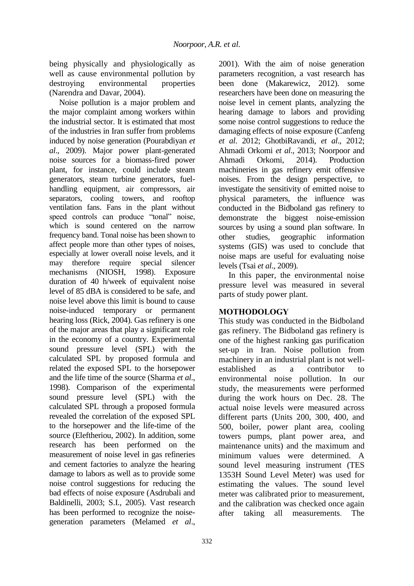being physically and physiologically as well as cause environmental pollution by destroying environmental properties (Narendra and Davar, 2004).

Noise pollution is a major problem and the major complaint among workers within the industrial sector. It is estimated that most of the industries in Iran suffer from problems induced by noise generation (Pourabdiyan *et al*., 2009). Major power plant-generated noise sources for a biomass-fired power plant, for instance, could include steam generators, steam turbine generators, fuelhandling equipment, air compressors, air separators, cooling towers, and rooftop ventilation fans. Fans in the plant without speed controls can produce "tonal" noise, which is sound centered on the narrow frequency band. Tonal noise has been shown to affect people more than other types of noises, especially at lower overall noise levels, and it may therefore require special silencer mechanisms (NIOSH, 1998). Exposure duration of 40 h/week of equivalent noise level of 85 dBA is considered to be safe, and noise level above this limit is bound to cause noise-induced temporary or permanent hearing loss (Rick, 2004). Gas refinery is one of the major areas that play a significant role in the economy of a country. Experimental sound pressure level (SPL) with the calculated SPL by proposed formula and related the exposed SPL to the horsepower and the life time of the source (Sharma *et al*., 1998). Comparison of the experimental sound pressure level (SPL) with the calculated SPL through a proposed formula revealed the correlation of the exposed SPL to the horsepower and the life-time of the source (Eleftheriou, 2002). In addition, some research has been performed on the measurement of noise level in gas refineries and cement factories to analyze the hearing damage to labors as well as to provide some noise control suggestions for reducing the bad effects of noise exposure (Asdrubali and Baldinelli, 2003; S.I., 2005). Vast research has been performed to recognize the noisegeneration parameters (Melamed *et al*.,

2001). With the aim of noise generation parameters recognition, a vast research has been done (Makarewicz, 2012). some researchers have been done on measuring the noise level in cement plants, analyzing the hearing damage to labors and providing some noise control suggestions to reduce the damaging effects of noise exposure (Canfeng *et al*. 2012; GhotbiRavandi, *et al*., 2012; Ahmadi Orkomi *et al*., 2013; Noorpoor and Ahmadi Orkomi, 2014). Production machineries in gas refinery emit offensive noises. From the design perspective, to investigate the sensitivity of emitted noise to physical parameters, the influence was conducted in the Bidboland gas refinery to demonstrate the biggest noise-emission sources by using a sound plan software. In other studies, geographic information systems (GIS) was used to conclude that noise maps are useful for evaluating noise levels (Tsai *et al*., 2009).

In this paper, the environmental noise pressure level was measured in several parts of study power plant.

## **MOTHODOLOGY**

This study was conducted in the Bidboland gas refinery. The Bidboland gas refinery is one of the highest ranking gas purification set-up in Iran. Noise pollution from machinery in an industrial plant is not wellestablished as a contributor to environmental noise pollution. In our study, the measurements were performed during the work hours on Dec. 28. The actual noise levels were measured across different parts (Units 200, 300, 400, and 500, boiler, power plant area, cooling towers pumps, plant power area, and maintenance units) and the maximum and minimum values were determined. A sound level measuring instrument (TES 1353H Sound Level Meter) was used for estimating the values. The sound level meter was calibrated prior to measurement, and the calibration was checked once again after taking all measurements. The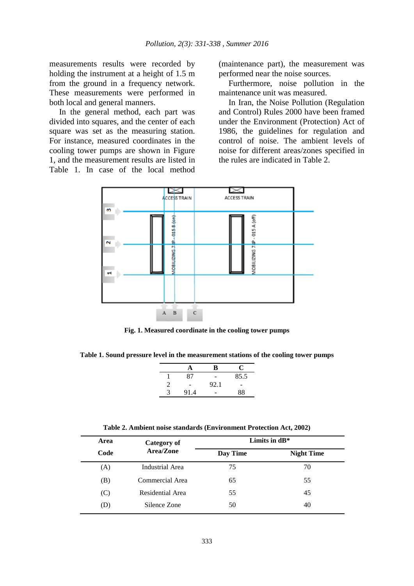measurements results were recorded by holding the instrument at a height of 1.5 m from the ground in a frequency network. These measurements were performed in both local and general manners.

In the general method, each part was divided into squares, and the center of each square was set as the measuring station. For instance, measured coordinates in the cooling tower pumps are shown in Figure 1, and the measurement results are listed in Table 1. In case of the local method (maintenance part), the measurement was performed near the noise sources.

Furthermore, noise pollution in the maintenance unit was measured.

In Iran, the Noise Pollution (Regulation and Control) Rules 2000 have been framed under the Environment (Protection) Act of 1986, the guidelines for regulation and control of noise. The ambient levels of noise for different areas/zones specified in the rules are indicated in Table 2.



**Fig. 1. Measured coordinate in the cooling tower pumps**

**Table 1. Sound pressure level in the measurement stations of the cooling tower pumps**

| 85.5<br>87<br>92.1 |   |      | В | C. |  |
|--------------------|---|------|---|----|--|
|                    |   |      |   |    |  |
|                    |   |      |   |    |  |
|                    | 3 | 91.4 |   | 88 |  |

**Table 2. Ambient noise standards (Environment Protection Act, 2002)**

| Area | Category of<br>Area/Zone | Limits in $dB^*$ |                   |
|------|--------------------------|------------------|-------------------|
| Code |                          | Day Time         | <b>Night Time</b> |
| (A)  | Industrial Area          | 75               | 70                |
| (B)  | Commercial Area          | 65               | 55                |
| (C)  | Residential Area         | 55               | 45                |
| (D)  | Silence Zone             | 50               | 40                |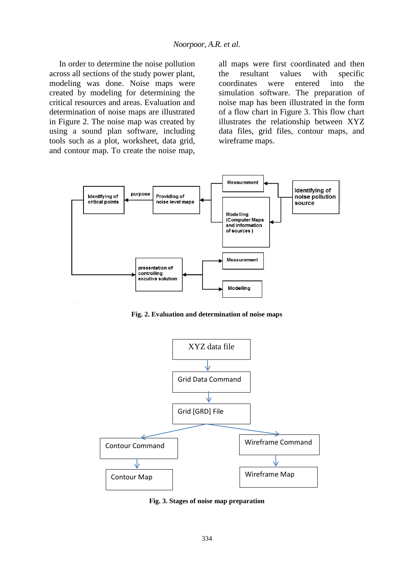In order to determine the noise pollution across all sections of the study power plant, modeling was done. Noise maps were created by modeling for determining the critical resources and areas. Evaluation and determination of noise maps are illustrated in Figure 2. The noise map was created by using a sound plan software, including tools such as a plot, worksheet, data grid, and contour map. To create the noise map, all maps were first coordinated and then the resultant values with specific coordinates were entered into the simulation software. The preparation of noise map has been illustrated in the form of a flow chart in Figure 3. This flow chart illustrates the relationship between XYZ data files, grid files, contour maps, and wireframe maps.



**Fig. 2. Evaluation and determination of noise maps**



**Fig. 3. Stages of noise map preparation**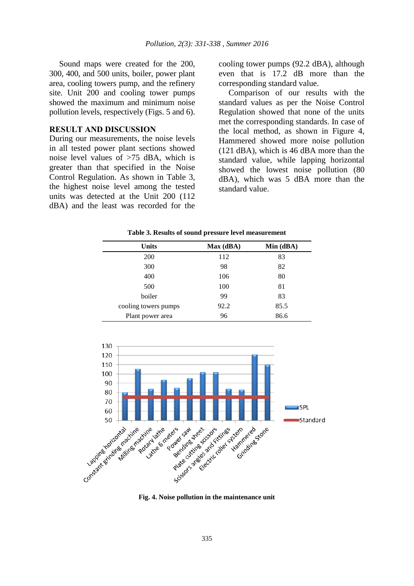Sound maps were created for the 200, 300, 400, and 500 units, boiler, power plant area, cooling towers pump, and the refinery site. Unit 200 and cooling tower pumps showed the maximum and minimum noise pollution levels, respectively (Figs. 5 and 6).

#### **RESULT AND DISCUSSION**

During our measurements, the noise levels in all tested power plant sections showed noise level values of >75 dBA, which is greater than that specified in the Noise Control Regulation. As shown in Table 3, the highest noise level among the tested units was detected at the Unit 200 (112 dBA) and the least was recorded for the cooling tower pumps (92.2 dBA), although even that is 17.2 dB more than the corresponding standard value.

Comparison of our results with the standard values as per the Noise Control Regulation showed that none of the units met the corresponding standards. In case of the local method, as shown in Figure 4, Hammered showed more noise pollution (121 dBA), which is 46 dBA more than the standard value, while lapping horizontal showed the lowest noise pollution (80 dBA), which was 5 dBA more than the standard value.

| <b>Units</b>         | Max(dBA) | Min (dBA) |
|----------------------|----------|-----------|
| <b>200</b>           | 112      | 83        |
| 300                  | 98       | 82        |
| 400                  | 106      | 80        |
| 500                  | 100      | 81        |
| boiler               | 99       | 83        |
| cooling towers pumps | 92.2     | 85.5      |
| Plant power area     | 96       | 86.6      |

**Table 3. Results of sound pressure level measurement**



**Fig. 4. Noise pollution in the maintenance unit**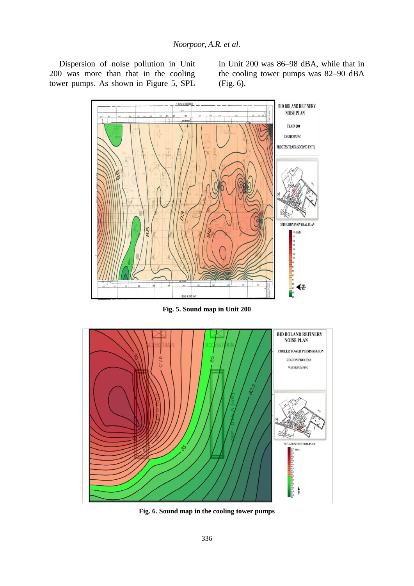Dispersion of noise pollution in Unit 200 was more than that in the cooling tower pumps. As shown in Figure 5, SPL in Unit 200 was 86–98 dBA, while that in the cooling tower pumps was 82–90 dBA (Fig. 6).



**Fig. 5. Sound map in Unit 200**



**Fig. 6. Sound map in the cooling tower pumps**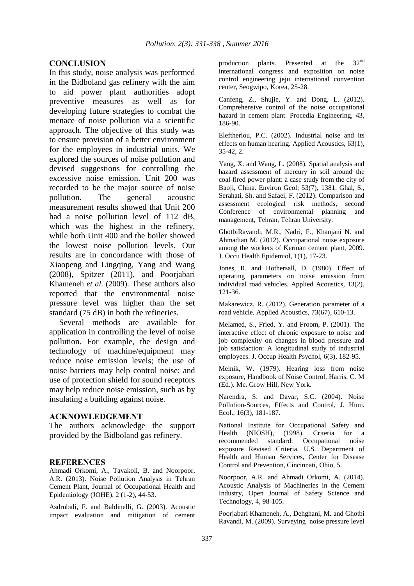## **CONCLUSION**

In this study, noise analysis was performed in the Bidboland gas refinery with the aim to aid power plant authorities adopt preventive measures as well as for developing future strategies to combat the menace of noise pollution via a scientific approach. The objective of this study was to ensure provision of a better environment for the employees in industrial units. We explored the sources of noise pollution and devised suggestions for controlling the excessive noise emission. Unit 200 was recorded to be the major source of noise pollution. The general acoustic measurement results showed that Unit 200 had a noise pollution level of 112 dB, which was the highest in the refinery, while both Unit 400 and the boiler showed the lowest noise pollution levels. Our results are in concordance with those of Xiaopeng and Lingqing, Yang and Wang (2008), Spitzer (2011), and Poorjabari Khameneh *et al*. (2009). These authors also reported that the environmental noise pressure level was higher than the set standard (75 dB) in both the refineries.

Several methods are available for application in controlling the level of noise pollution. For example, the design and technology of machine/equipment may reduce noise emission levels; the use of noise barriers may help control noise; and use of protection shield for sound receptors may help reduce noise emission, such as by insulating a building against noise.

## **ACKNOWLEDGEMENT**

The authors acknowledge the support provided by the Bidboland gas refinery.

#### **REFERENCES**

Ahmadi Orkomi, A., Tavakoli, B. and Noorpoor, A.R. (2013). Noise Pollution Analysis in Tehran Cement Plant, Journal of Occupational Health and Epidemiology (JOHE), 2 (1-2), 44-53.

Asdrubali, F. and Baldinelli, G. (2003). Acoustic impact evaluation and mitigation of cement production plants. Presented at the 32<sup>nd</sup> international congress and exposition on noise control engineering jeju international convention center, Seogwipo, Korea, 25-28.

Canfeng, Z., Shujie, Y. and Dong, L. (2012). Comprehensive control of the noise occupational hazard in cement plant. Procedia Engineering, 43, 186-90.

Eleftheriou, P.C. (2002). Industrial noise and its effects on human hearing. Applied Acoustics, 63(1), 35-42, 2.

Yang, X. and Wang, L. (2008). Spatial analysis and hazard assessment of mercury in soil around the coal-fired power plant: a case study from the city of Baoji, China. Environ Geol; 53(7), 1381. Ghal, S., Serahati, Sh. and Safaei, F. (2012). Comparison and assessment ecological risk methods, second Conference of environmental planning and management, Tehran, Tehran University.

GhotbiRavandi, M.R., Nadri, F., Khanjani N. and Ahmadian M. (2012). Occupational noise exposure among the workers of Kerman cement plant, 2009. J. Occu Health Epidemiol, 1(1), 17-23.

Jones, R. and Hothersall, D. (1980). Effect of operating parameters on noise emission from individual road vehicles. Applied Acoustics, 13(2), 121-36.

Makarewicz, R. (2012). Generation parameter of a road vehicle. Applied Acoustics, 73(67), 610-13.

Melamed, S., Fried, Y. and Froom, P. (2001). The interactive effect of chronic exposure to noise and job complexity on changes in blood pressure and job satisfaction: A longitudinal study of industrial employees. J. Occup Health Psychol, 6(3), 182-95.

Melnik, W. (1979). Hearing loss from noise exposure, Handbook of Noise Control, Harris, C. M (Ed.). Mc. Grow Hill, New York.

Narendra, S. and Davar, S.C. (2004). Noise Pollution-Sources, Effects and Control, J. Hum. Ecol., 16(3), 181-187.

National Institute for Occupational Safety and Health (NIOSH), (1998). Criteria for a recommended standard: Occupational noise exposure Revised Criteria, U.S. Department of Health and Human Services, Center for Disease Control and Prevention, Cincinnati, Ohio, 5.

Noorpoor, A.R. and Ahmadi Orkomi, A. (2014). Acoustic Analysis of Machineries in the Cement Industry, Open Journal of Safety Science and Technology, 4, 98-105.

Poorjabari Khameneh, A., Dehghani, M. and Ghotbi Ravandi, M. (2009). Surveying noise pressure level